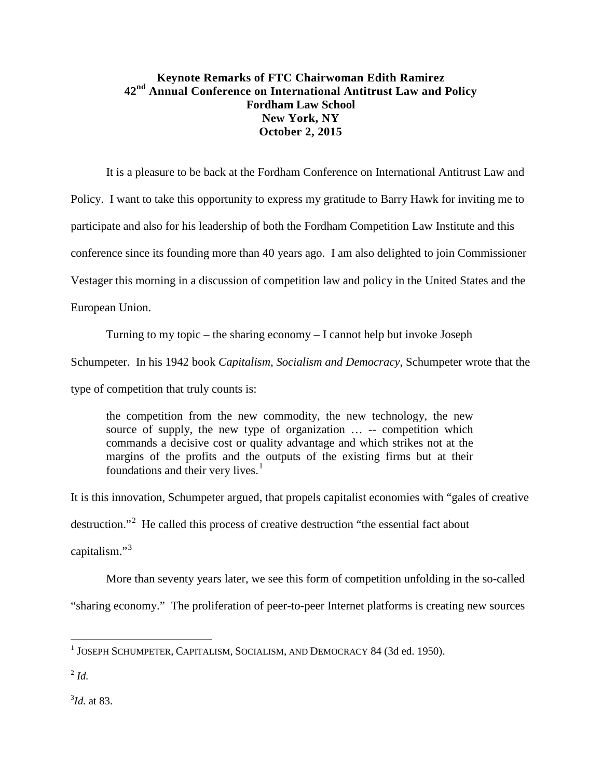## **Keynote Remarks of FTC Chairwoman Edith Ramirez 42nd Annual Conference on International Antitrust Law and Policy Fordham Law School New York, NY October 2, 2015**

It is a pleasure to be back at the Fordham Conference on International Antitrust Law and

Policy. I want to take this opportunity to express my gratitude to Barry Hawk for inviting me to

participate and also for his leadership of both the Fordham Competition Law Institute and this

conference since its founding more than 40 years ago. I am also delighted to join Commissioner

Vestager this morning in a discussion of competition law and policy in the United States and the

European Union.

Turning to my topic – the sharing economy – I cannot help but invoke Joseph

Schumpeter. In his 1942 book *Capitalism, Socialism and Democracy*, Schumpeter wrote that the

type of competition that truly counts is:

the competition from the new commodity, the new technology, the new source of supply, the new type of organization … -- competition which commands a decisive cost or quality advantage and which strikes not at the margins of the profits and the outputs of the existing firms but at their foundations and their very lives. $<sup>1</sup>$  $<sup>1</sup>$  $<sup>1</sup>$ </sup>

It is this innovation, Schumpeter argued, that propels capitalist economies with "gales of creative destruction."<sup>[2](#page-0-1)</sup> He called this process of creative destruction "the essential fact about capitalism."<sup>[3](#page-0-2)</sup>

More than seventy years later, we see this form of competition unfolding in the so-called

"sharing economy." The proliferation of peer-to-peer Internet platforms is creating new sources

l

<span id="page-0-2"></span>3 *Id.* at 83.

<span id="page-0-0"></span><sup>1</sup> JOSEPH SCHUMPETER, CAPITALISM, SOCIALISM, AND DEMOCRACY 84 (3d ed. 1950).

<span id="page-0-1"></span> $^{2}$  *Id.*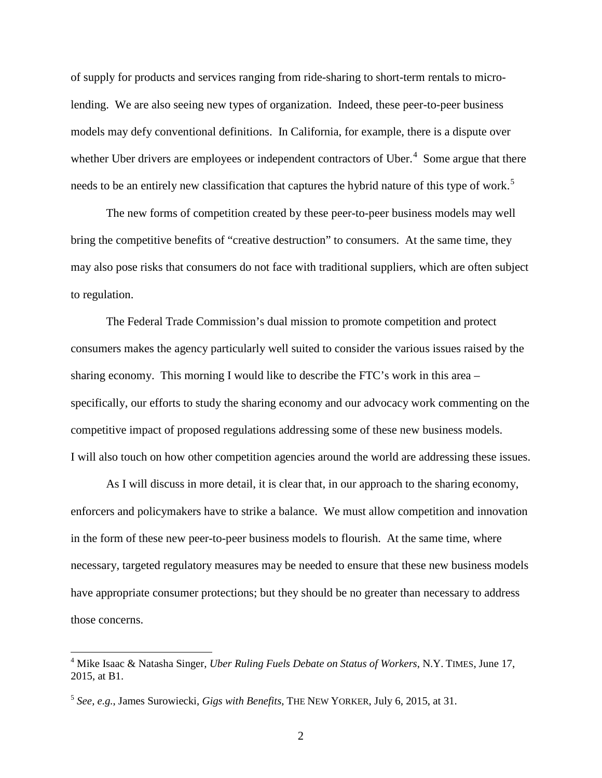of supply for products and services ranging from ride-sharing to short-term rentals to microlending. We are also seeing new types of organization. Indeed, these peer-to-peer business models may defy conventional definitions. In California, for example, there is a dispute over whether Uber drivers are employees or independent contractors of Uber. $4$  Some argue that there needs to be an entirely new classification that captures the hybrid nature of this type of work.<sup>[5](#page-1-1)</sup>

The new forms of competition created by these peer-to-peer business models may well bring the competitive benefits of "creative destruction" to consumers. At the same time, they may also pose risks that consumers do not face with traditional suppliers, which are often subject to regulation.

The Federal Trade Commission's dual mission to promote competition and protect consumers makes the agency particularly well suited to consider the various issues raised by the sharing economy. This morning I would like to describe the FTC's work in this area – specifically, our efforts to study the sharing economy and our advocacy work commenting on the competitive impact of proposed regulations addressing some of these new business models. I will also touch on how other competition agencies around the world are addressing these issues.

As I will discuss in more detail, it is clear that, in our approach to the sharing economy, enforcers and policymakers have to strike a balance. We must allow competition and innovation in the form of these new peer-to-peer business models to flourish. At the same time, where necessary, targeted regulatory measures may be needed to ensure that these new business models have appropriate consumer protections; but they should be no greater than necessary to address those concerns.

<span id="page-1-0"></span><sup>4</sup> Mike Isaac & Natasha Singer, *Uber Ruling Fuels Debate on Status of Workers*, N.Y. TIMES, June 17, 2015, at B1.

<span id="page-1-1"></span><sup>5</sup> *See, e.g.*, [James Surowiecki,](http://www.newyorker.com/contributors/james-surowiecki) *Gigs with Benefits*, THE NEW YORKER, July 6, 2015, at 31.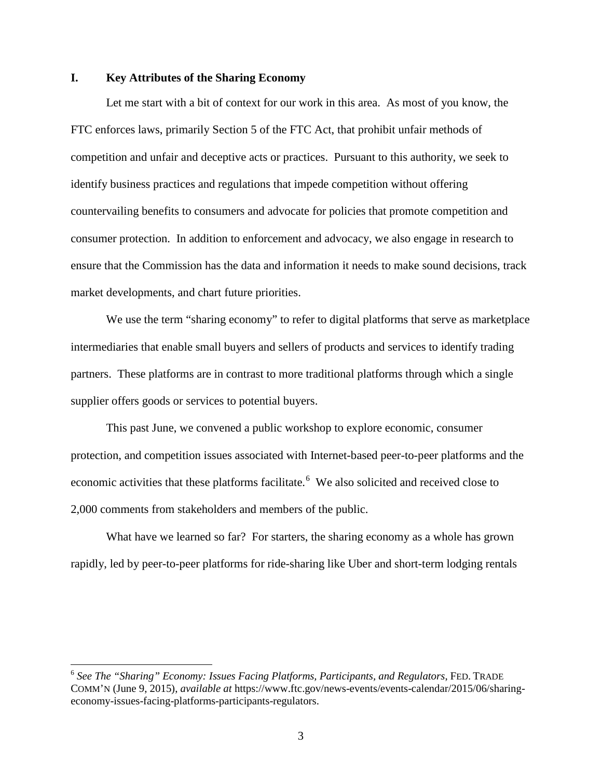## **I. Key Attributes of the Sharing Economy**

Let me start with a bit of context for our work in this area. As most of you know, the FTC enforces laws, primarily Section 5 of the FTC Act, that prohibit unfair methods of competition and unfair and deceptive acts or practices. Pursuant to this authority, we seek to identify business practices and regulations that impede competition without offering countervailing benefits to consumers and advocate for policies that promote competition and consumer protection. In addition to enforcement and advocacy, we also engage in research to ensure that the Commission has the data and information it needs to make sound decisions, track market developments, and chart future priorities.

We use the term "sharing economy" to refer to digital platforms that serve as marketplace intermediaries that enable small buyers and sellers of products and services to identify trading partners. These platforms are in contrast to more traditional platforms through which a single supplier offers goods or services to potential buyers.

This past June, we convened a public workshop to explore economic, consumer protection, and competition issues associated with Internet-based peer-to-peer platforms and the economic activities that these platforms facilitate.<sup>[6](#page-2-0)</sup> We also solicited and received close to 2,000 comments from stakeholders and members of the public.

What have we learned so far? For starters, the sharing economy as a whole has grown rapidly, led by peer-to-peer platforms for ride-sharing like Uber and short-term lodging rentals

<span id="page-2-0"></span><sup>6</sup> *See The "Sharing" Economy: Issues Facing Platforms, Participants, and Regulators*, FED. TRADE COMM'N (June 9, 2015), *available at* [https://www.ftc.gov/news-events/events-calendar/2015/06/sharing](https://www.ftc.gov/news-events/events-calendar/2015/06/sharing-economy-issues-facing-platforms-participants-regulators)[economy-issues-facing-platforms-participants-regulators.](https://www.ftc.gov/news-events/events-calendar/2015/06/sharing-economy-issues-facing-platforms-participants-regulators)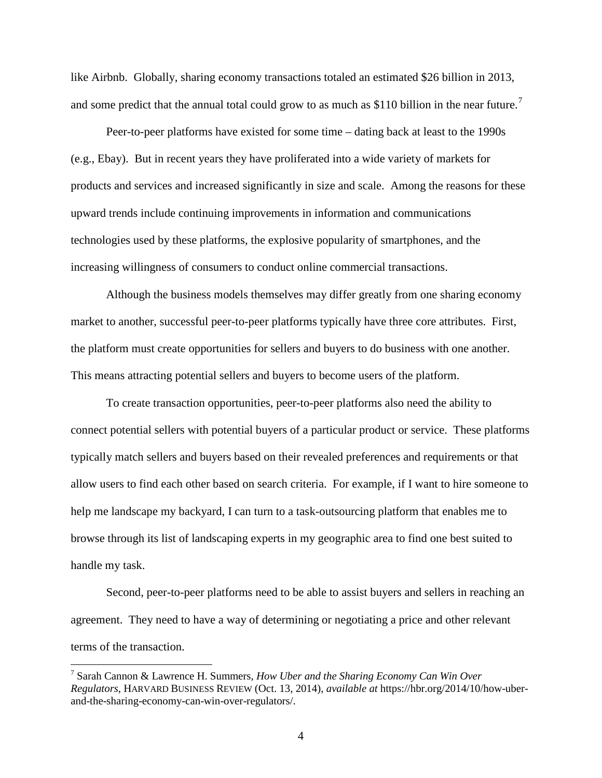like Airbnb. Globally, sharing economy transactions totaled an estimated \$26 billion in 2013, and some predict that the annual total could grow to as much as \$110 billion in the near future.<sup>[7](#page-3-0)</sup>

Peer-to-peer platforms have existed for some time – dating back at least to the 1990s (e.g., Ebay). But in recent years they have proliferated into a wide variety of markets for products and services and increased significantly in size and scale. Among the reasons for these upward trends include continuing improvements in information and communications technologies used by these platforms, the explosive popularity of smartphones, and the increasing willingness of consumers to conduct online commercial transactions.

Although the business models themselves may differ greatly from one sharing economy market to another, successful peer-to-peer platforms typically have three core attributes. First, the platform must create opportunities for sellers and buyers to do business with one another. This means attracting potential sellers and buyers to become users of the platform.

To create transaction opportunities, peer-to-peer platforms also need the ability to connect potential sellers with potential buyers of a particular product or service. These platforms typically match sellers and buyers based on their revealed preferences and requirements or that allow users to find each other based on search criteria. For example, if I want to hire someone to help me landscape my backyard, I can turn to a task-outsourcing platform that enables me to browse through its list of landscaping experts in my geographic area to find one best suited to handle my task.

Second, peer-to-peer platforms need to be able to assist buyers and sellers in reaching an agreement. They need to have a way of determining or negotiating a price and other relevant terms of the transaction.

<span id="page-3-0"></span><sup>7</sup> Sarah Cannon & Lawrence H. Summers, *How Uber and the Sharing Economy Can Win Over Regulators*, HARVARD BUSINESS REVIEW (Oct. 13, 2014), *available at* https://hbr.org/2014/10/how-uberand-the-sharing-economy-can-win-over-regulators/.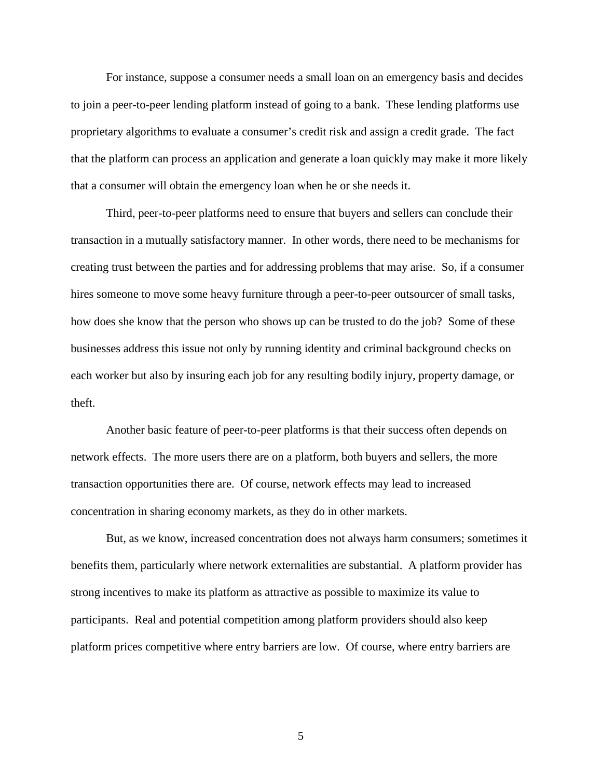For instance, suppose a consumer needs a small loan on an emergency basis and decides to join a peer-to-peer lending platform instead of going to a bank. These lending platforms use proprietary algorithms to evaluate a consumer's credit risk and assign a credit grade. The fact that the platform can process an application and generate a loan quickly may make it more likely that a consumer will obtain the emergency loan when he or she needs it.

Third, peer-to-peer platforms need to ensure that buyers and sellers can conclude their transaction in a mutually satisfactory manner. In other words, there need to be mechanisms for creating trust between the parties and for addressing problems that may arise. So, if a consumer hires someone to move some heavy furniture through a peer-to-peer outsourcer of small tasks, how does she know that the person who shows up can be trusted to do the job? Some of these businesses address this issue not only by running identity and criminal background checks on each worker but also by insuring each job for any resulting bodily injury, property damage, or theft.

Another basic feature of peer-to-peer platforms is that their success often depends on network effects. The more users there are on a platform, both buyers and sellers, the more transaction opportunities there are. Of course, network effects may lead to increased concentration in sharing economy markets, as they do in other markets.

But, as we know, increased concentration does not always harm consumers; sometimes it benefits them, particularly where network externalities are substantial. A platform provider has strong incentives to make its platform as attractive as possible to maximize its value to participants. Real and potential competition among platform providers should also keep platform prices competitive where entry barriers are low. Of course, where entry barriers are

5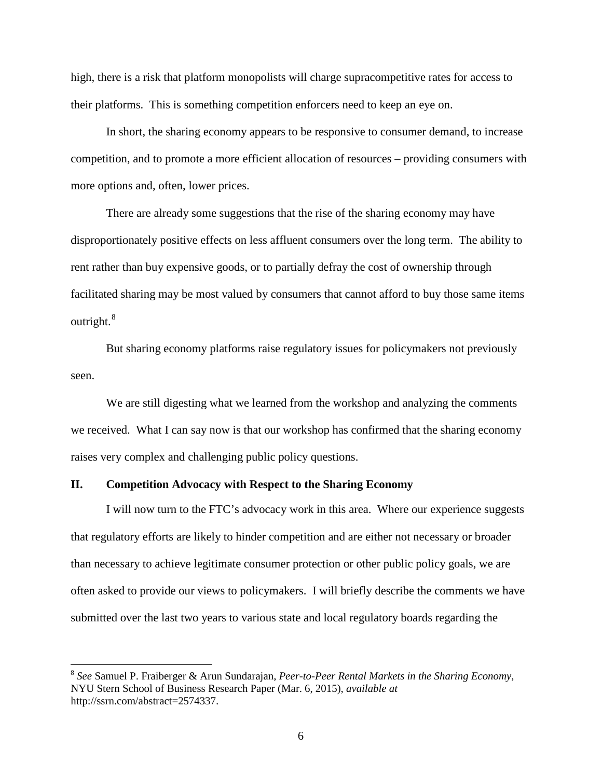high, there is a risk that platform monopolists will charge supracompetitive rates for access to their platforms. This is something competition enforcers need to keep an eye on.

In short, the sharing economy appears to be responsive to consumer demand, to increase competition, and to promote a more efficient allocation of resources – providing consumers with more options and, often, lower prices.

There are already some suggestions that the rise of the sharing economy may have disproportionately positive effects on less affluent consumers over the long term. The ability to rent rather than buy expensive goods, or to partially defray the cost of ownership through facilitated sharing may be most valued by consumers that cannot afford to buy those same items outright.<sup>[8](#page-5-0)</sup>

But sharing economy platforms raise regulatory issues for policymakers not previously seen.

We are still digesting what we learned from the workshop and analyzing the comments we received. What I can say now is that our workshop has confirmed that the sharing economy raises very complex and challenging public policy questions.

## **II. Competition Advocacy with Respect to the Sharing Economy**

 $\overline{\phantom{a}}$ 

I will now turn to the FTC's advocacy work in this area. Where our experience suggests that regulatory efforts are likely to hinder competition and are either not necessary or broader than necessary to achieve legitimate consumer protection or other public policy goals, we are often asked to provide our views to policymakers. I will briefly describe the comments we have submitted over the last two years to various state and local regulatory boards regarding the

<span id="page-5-0"></span><sup>8</sup> *See* Samuel P. Fraiberger & Arun Sundarajan, *Peer-to-Peer Rental Markets in the Sharing Economy*, NYU Stern School of Business Research Paper (Mar. 6, 2015), *available at*  [http://ssrn.com/abstract=2574337.](http://ssrn.com/abstract=2574337)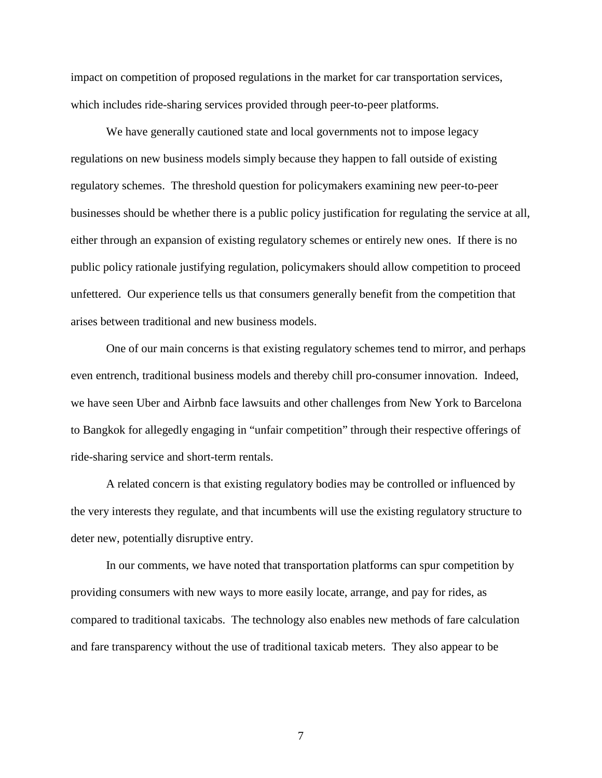impact on competition of proposed regulations in the market for car transportation services, which includes ride-sharing services provided through peer-to-peer platforms.

We have generally cautioned state and local governments not to impose legacy regulations on new business models simply because they happen to fall outside of existing regulatory schemes. The threshold question for policymakers examining new peer-to-peer businesses should be whether there is a public policy justification for regulating the service at all, either through an expansion of existing regulatory schemes or entirely new ones. If there is no public policy rationale justifying regulation, policymakers should allow competition to proceed unfettered. Our experience tells us that consumers generally benefit from the competition that arises between traditional and new business models.

One of our main concerns is that existing regulatory schemes tend to mirror, and perhaps even entrench, traditional business models and thereby chill pro-consumer innovation. Indeed, we have seen Uber and Airbnb face lawsuits and other challenges from New York to Barcelona to Bangkok for allegedly engaging in "unfair competition" through their respective offerings of ride-sharing service and short-term rentals.

A related concern is that existing regulatory bodies may be controlled or influenced by the very interests they regulate, and that incumbents will use the existing regulatory structure to deter new, potentially disruptive entry.

In our comments, we have noted that transportation platforms can spur competition by providing consumers with new ways to more easily locate, arrange, and pay for rides, as compared to traditional taxicabs. The technology also enables new methods of fare calculation and fare transparency without the use of traditional taxicab meters. They also appear to be

7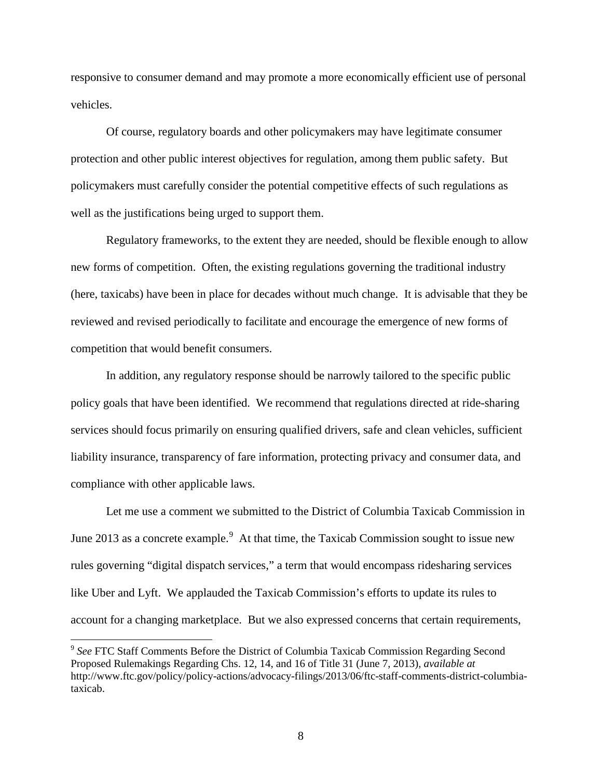responsive to consumer demand and may promote a more economically efficient use of personal vehicles.

Of course, regulatory boards and other policymakers may have legitimate consumer protection and other public interest objectives for regulation, among them public safety. But policymakers must carefully consider the potential competitive effects of such regulations as well as the justifications being urged to support them.

Regulatory frameworks, to the extent they are needed, should be flexible enough to allow new forms of competition. Often, the existing regulations governing the traditional industry (here, taxicabs) have been in place for decades without much change. It is advisable that they be reviewed and revised periodically to facilitate and encourage the emergence of new forms of competition that would benefit consumers.

In addition, any regulatory response should be narrowly tailored to the specific public policy goals that have been identified. We recommend that regulations directed at ride-sharing services should focus primarily on ensuring qualified drivers, safe and clean vehicles, sufficient liability insurance, transparency of fare information, protecting privacy and consumer data, and compliance with other applicable laws.

Let me use a comment we submitted to the District of Columbia Taxicab Commission in June 2013 as a concrete example. $9$  At that time, the Taxicab Commission sought to issue new rules governing "digital dispatch services," a term that would encompass ridesharing services like Uber and Lyft. We applauded the Taxicab Commission's efforts to update its rules to account for a changing marketplace. But we also expressed concerns that certain requirements,

l

<span id="page-7-0"></span><sup>9</sup> *See* FTC Staff Comments Before the District of Columbia Taxicab Commission Regarding Second Proposed Rulemakings Regarding Chs. 12, 14, and 16 of Title 31 (June 7, 2013), *available at*  http://www.ftc.gov/policy/policy-actions/advocacy-filings/2013/06/ftc-staff-comments-district-columbiataxicab.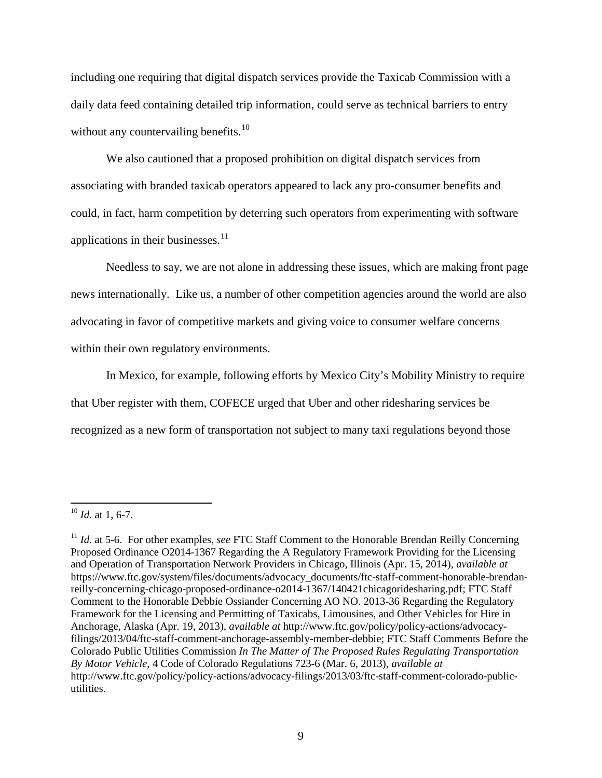including one requiring that digital dispatch services provide the Taxicab Commission with a daily data feed containing detailed trip information, could serve as technical barriers to entry without any countervailing benefits.<sup>[10](#page-8-0)</sup>

We also cautioned that a proposed prohibition on digital dispatch services from associating with branded taxicab operators appeared to lack any pro-consumer benefits and could, in fact, harm competition by deterring such operators from experimenting with software applications in their businesses.<sup>11</sup>

Needless to say, we are not alone in addressing these issues, which are making front page news internationally. Like us, a number of other competition agencies around the world are also advocating in favor of competitive markets and giving voice to consumer welfare concerns within their own regulatory environments.

In Mexico, for example, following efforts by Mexico City's Mobility Ministry to require that Uber register with them, COFECE urged that Uber and other ridesharing services be recognized as a new form of transportation not subject to many taxi regulations beyond those

<span id="page-8-0"></span> $^{10}$  *Id.* at 1, 6-7.

<span id="page-8-1"></span><sup>&</sup>lt;sup>11</sup> *Id.* at 5-6. For other examples, *see* FTC Staff Comment to the Honorable Brendan Reilly Concerning Proposed Ordinance O2014-1367 Regarding the A Regulatory Framework Providing for the Licensing and Operation of Transportation Network Providers in Chicago, Illinois (Apr. 15, 2014), *available at*  https://www.ftc.gov/system/files/documents/advocacy\_documents/ftc-staff-comment-honorable-brendanreilly-concerning-chicago-proposed-ordinance-o2014-1367/140421chicagoridesharing.pdf; FTC Staff Comment to the Honorable Debbie Ossiander Concerning AO NO. 2013-36 Regarding the Regulatory Framework for the Licensing and Permitting of Taxicabs, Limousines, and Other Vehicles for Hire in Anchorage, Alaska (Apr. 19, 2013), *available at* http://www.ftc.gov/policy/policy-actions/advocacyfilings/2013/04/ftc-staff-comment-anchorage-assembly-member-debbie; FTC Staff Comments Before the Colorado Public Utilities Commission *In The Matter of The Proposed Rules Regulating Transportation By Motor Vehicle,* 4 Code of Colorado Regulations 723-6 (Mar. 6, 2013), *available at*  http://www.ftc.gov/policy/policy-actions/advocacy-filings/2013/03/ftc-staff-comment-colorado-publicutilities.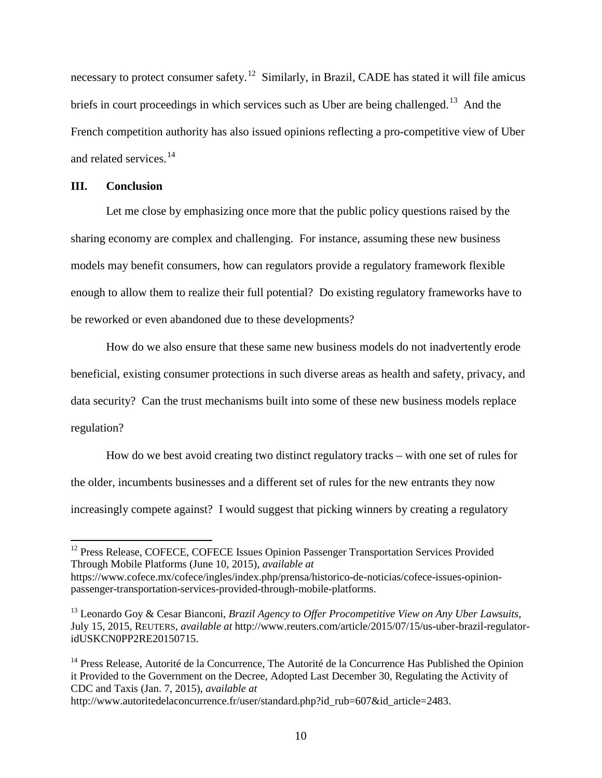necessary to protect consumer safety.<sup>[12](#page-9-0)</sup> Similarly, in Brazil, CADE has stated it will file amicus briefs in court proceedings in which services such as Uber are being challenged.<sup>[13](#page-9-1)</sup> And the French competition authority has also issued opinions reflecting a pro-competitive view of Uber and related services. [14](#page-9-2)

## **III. Conclusion**

l

Let me close by emphasizing once more that the public policy questions raised by the sharing economy are complex and challenging. For instance, assuming these new business models may benefit consumers, how can regulators provide a regulatory framework flexible enough to allow them to realize their full potential? Do existing regulatory frameworks have to be reworked or even abandoned due to these developments?

How do we also ensure that these same new business models do not inadvertently erode beneficial, existing consumer protections in such diverse areas as health and safety, privacy, and data security? Can the trust mechanisms built into some of these new business models replace regulation?

How do we best avoid creating two distinct regulatory tracks – with one set of rules for the older, incumbents businesses and a different set of rules for the new entrants they now increasingly compete against? I would suggest that picking winners by creating a regulatory

<span id="page-9-0"></span><sup>&</sup>lt;sup>12</sup> Press Release, COFECE, COFECE Issues Opinion Passenger Transportation Services Provided Through Mobile Platforms (June 10, 2015), *available at*

https://www.cofece.mx/cofece/ingles/index.php/prensa/historico-de-noticias/cofece-issues-opinionpassenger-transportation-services-provided-through-mobile-platforms.

<span id="page-9-1"></span><sup>13</sup> Leonardo Goy & Cesar Bianconi, *Brazil Agency to Offer Procompetitive View on Any Uber Lawsuits*, July 15, 2015, REUTERS, *available at* http://www.reuters.com/article/2015/07/15/us-uber-brazil-regulatoridUSKCN0PP2RE20150715.

<span id="page-9-2"></span><sup>&</sup>lt;sup>14</sup> Press Release, Autorité de la Concurrence, The Autorité de la Concurrence Has Published the Opinion it Provided to the Government on the Decree, Adopted Last December 30, Regulating the Activity of CDC and Taxis (Jan. 7, 2015), *available at*

http://www.autoritedelaconcurrence.fr/user/standard.php?id\_rub=607&id\_article=2483.